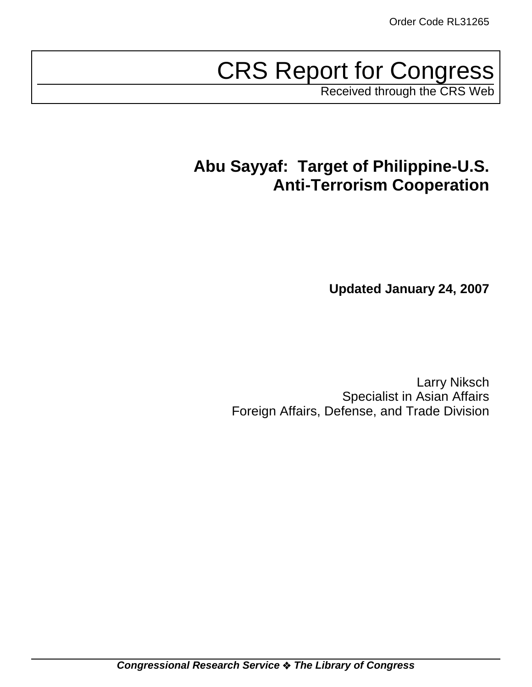# CRS Report for Congress

Received through the CRS Web

# **Abu Sayyaf: Target of Philippine-U.S. Anti-Terrorism Cooperation**

**Updated January 24, 2007**

Larry Niksch Specialist in Asian Affairs Foreign Affairs, Defense, and Trade Division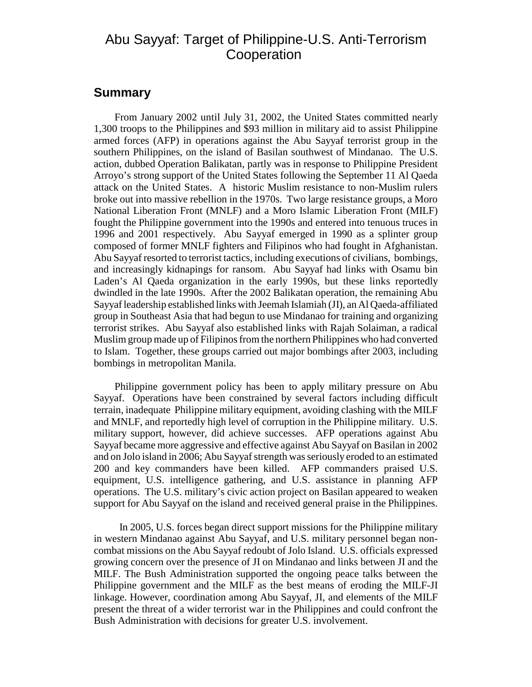## Abu Sayyaf: Target of Philippine-U.S. Anti-Terrorism **Cooperation**

#### **Summary**

From January 2002 until July 31, 2002, the United States committed nearly 1,300 troops to the Philippines and \$93 million in military aid to assist Philippine armed forces (AFP) in operations against the Abu Sayyaf terrorist group in the southern Philippines, on the island of Basilan southwest of Mindanao. The U.S. action, dubbed Operation Balikatan, partly was in response to Philippine President Arroyo's strong support of the United States following the September 11 Al Qaeda attack on the United States. A historic Muslim resistance to non-Muslim rulers broke out into massive rebellion in the 1970s. Two large resistance groups, a Moro National Liberation Front (MNLF) and a Moro Islamic Liberation Front (MILF) fought the Philippine government into the 1990s and entered into tenuous truces in 1996 and 2001 respectively. Abu Sayyaf emerged in 1990 as a splinter group composed of former MNLF fighters and Filipinos who had fought in Afghanistan. Abu Sayyaf resorted to terrorist tactics, including executions of civilians, bombings, and increasingly kidnapings for ransom. Abu Sayyaf had links with Osamu bin Laden's Al Qaeda organization in the early 1990s, but these links reportedly dwindled in the late 1990s. After the 2002 Balikatan operation, the remaining Abu Sayyaf leadership established links with Jeemah Islamiah (JI), an Al Qaeda-affiliated group in Southeast Asia that had begun to use Mindanao for training and organizing terrorist strikes. Abu Sayyaf also established links with Rajah Solaiman, a radical Muslim group made up of Filipinos from the northern Philippines who had converted to Islam. Together, these groups carried out major bombings after 2003, including bombings in metropolitan Manila.

Philippine government policy has been to apply military pressure on Abu Sayyaf. Operations have been constrained by several factors including difficult terrain, inadequate Philippine military equipment, avoiding clashing with the MILF and MNLF, and reportedly high level of corruption in the Philippine military. U.S. military support, however, did achieve successes. AFP operations against Abu Sayyaf became more aggressive and effective against Abu Sayyaf on Basilan in 2002 and on Jolo island in 2006; Abu Sayyaf strength was seriously eroded to an estimated 200 and key commanders have been killed. AFP commanders praised U.S. equipment, U.S. intelligence gathering, and U.S. assistance in planning AFP operations. The U.S. military's civic action project on Basilan appeared to weaken support for Abu Sayyaf on the island and received general praise in the Philippines.

 In 2005, U.S. forces began direct support missions for the Philippine military in western Mindanao against Abu Sayyaf, and U.S. military personnel began noncombat missions on the Abu Sayyaf redoubt of Jolo Island. U.S. officials expressed growing concern over the presence of JI on Mindanao and links between JI and the MILF. The Bush Administration supported the ongoing peace talks between the Philippine government and the MILF as the best means of eroding the MILF-JI linkage. However, coordination among Abu Sayyaf, JI, and elements of the MILF present the threat of a wider terrorist war in the Philippines and could confront the Bush Administration with decisions for greater U.S. involvement.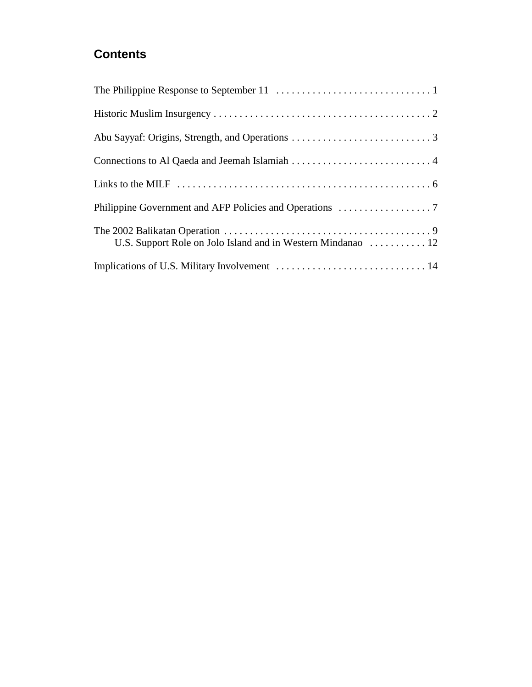# **Contents**

| U.S. Support Role on Jolo Island and in Western Mindanao  12 |
|--------------------------------------------------------------|
|                                                              |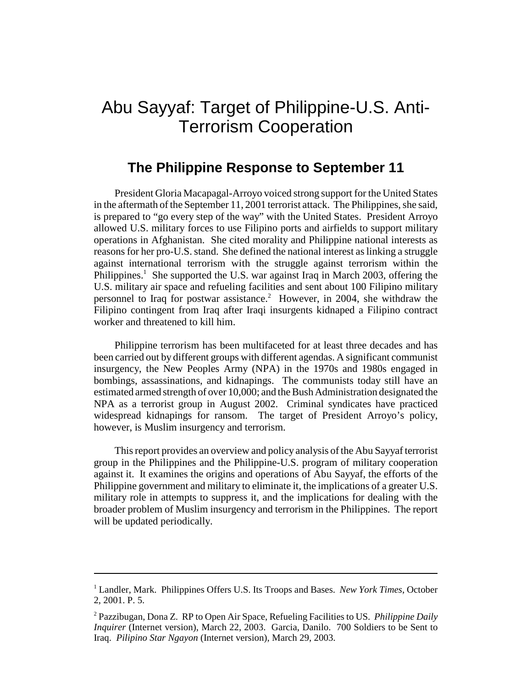# Abu Sayyaf: Target of Philippine-U.S. Anti-Terrorism Cooperation

### **The Philippine Response to September 11**

President Gloria Macapagal-Arroyo voiced strong support for the United States in the aftermath of the September 11, 2001 terrorist attack. The Philippines, she said, is prepared to "go every step of the way" with the United States. President Arroyo allowed U.S. military forces to use Filipino ports and airfields to support military operations in Afghanistan. She cited morality and Philippine national interests as reasons for her pro-U.S. stand. She defined the national interest as linking a struggle against international terrorism with the struggle against terrorism within the Philippines.<sup>1</sup> She supported the U.S. war against Iraq in March 2003, offering the U.S. military air space and refueling facilities and sent about 100 Filipino military personnel to Iraq for postwar assistance.<sup>2</sup> However, in 2004, she withdraw the Filipino contingent from Iraq after Iraqi insurgents kidnaped a Filipino contract worker and threatened to kill him.

Philippine terrorism has been multifaceted for at least three decades and has been carried out by different groups with different agendas. A significant communist insurgency, the New Peoples Army (NPA) in the 1970s and 1980s engaged in bombings, assassinations, and kidnapings. The communists today still have an estimated armed strength of over 10,000; and the Bush Administration designated the NPA as a terrorist group in August 2002. Criminal syndicates have practiced widespread kidnapings for ransom. The target of President Arroyo's policy, however, is Muslim insurgency and terrorism.

This report provides an overview and policy analysis of the Abu Sayyaf terrorist group in the Philippines and the Philippine-U.S. program of military cooperation against it. It examines the origins and operations of Abu Sayyaf, the efforts of the Philippine government and military to eliminate it, the implications of a greater U.S. military role in attempts to suppress it, and the implications for dealing with the broader problem of Muslim insurgency and terrorism in the Philippines. The report will be updated periodically.

<sup>&</sup>lt;sup>1</sup> Landler, Mark. Philippines Offers U.S. Its Troops and Bases. *New York Times*, October 2, 2001. P. 5.

<sup>2</sup> Pazzibugan, Dona Z. RP to Open Air Space, Refueling Facilities to US. *Philippine Daily Inquirer* (Internet version), March 22, 2003. Garcia, Danilo. 700 Soldiers to be Sent to Iraq. *Pilipino Star Ngayon* (Internet version), March 29, 2003.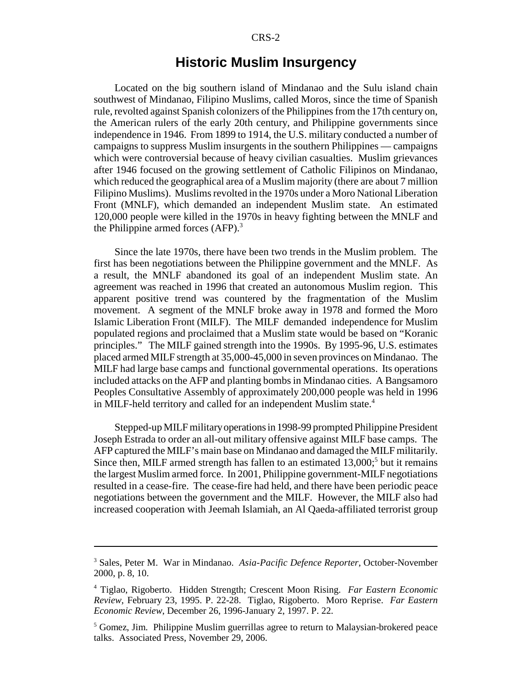#### **Historic Muslim Insurgency**

Located on the big southern island of Mindanao and the Sulu island chain southwest of Mindanao, Filipino Muslims, called Moros, since the time of Spanish rule, revolted against Spanish colonizers of the Philippines from the 17th century on, the American rulers of the early 20th century, and Philippine governments since independence in 1946. From 1899 to 1914, the U.S. military conducted a number of campaigns to suppress Muslim insurgents in the southern Philippines — campaigns which were controversial because of heavy civilian casualties. Muslim grievances after 1946 focused on the growing settlement of Catholic Filipinos on Mindanao, which reduced the geographical area of a Muslim majority (there are about 7 million Filipino Muslims). Muslims revolted in the 1970s under a Moro National Liberation Front (MNLF), which demanded an independent Muslim state. An estimated 120,000 people were killed in the 1970s in heavy fighting between the MNLF and the Philippine armed forces  $(AFP)$ .<sup>3</sup>

Since the late 1970s, there have been two trends in the Muslim problem. The first has been negotiations between the Philippine government and the MNLF. As a result, the MNLF abandoned its goal of an independent Muslim state. An agreement was reached in 1996 that created an autonomous Muslim region. This apparent positive trend was countered by the fragmentation of the Muslim movement. A segment of the MNLF broke away in 1978 and formed the Moro Islamic Liberation Front (MILF). The MILF demanded independence for Muslim populated regions and proclaimed that a Muslim state would be based on "Koranic principles." The MILF gained strength into the 1990s. By 1995-96, U.S. estimates placed armed MILF strength at 35,000-45,000 in seven provinces on Mindanao. The MILF had large base camps and functional governmental operations. Its operations included attacks on the AFP and planting bombs in Mindanao cities. A Bangsamoro Peoples Consultative Assembly of approximately 200,000 people was held in 1996 in MILF-held territory and called for an independent Muslim state.<sup>4</sup>

Stepped-up MILF military operations in 1998-99 prompted Philippine President Joseph Estrada to order an all-out military offensive against MILF base camps. The AFP captured the MILF's main base on Mindanao and damaged the MILF militarily. Since then, MILF armed strength has fallen to an estimated 13,000;<sup>5</sup> but it remains the largest Muslim armed force. In 2001, Philippine government-MILF negotiations resulted in a cease-fire. The cease-fire had held, and there have been periodic peace negotiations between the government and the MILF. However, the MILF also had increased cooperation with Jeemah Islamiah, an Al Qaeda-affiliated terrorist group

<sup>3</sup> Sales, Peter M. War in Mindanao. *Asia-Pacific Defence Reporter*, October-November 2000, p. 8, 10.

<sup>4</sup> Tiglao, Rigoberto. Hidden Strength; Crescent Moon Rising. *Far Eastern Economic Review*, February 23, 1995. P. 22-28. Tiglao, Rigoberto. Moro Reprise. *Far Eastern Economic Review*, December 26, 1996-January 2, 1997. P. 22.

<sup>&</sup>lt;sup>5</sup> Gomez, Jim. Philippine Muslim guerrillas agree to return to Malaysian-brokered peace talks. Associated Press, November 29, 2006.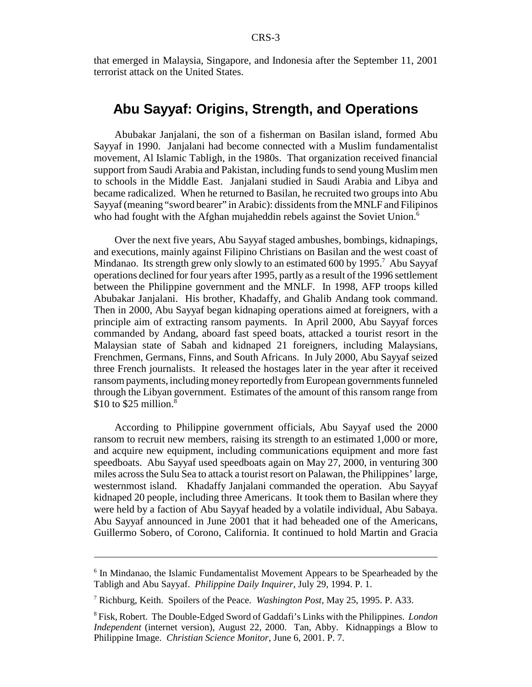that emerged in Malaysia, Singapore, and Indonesia after the September 11, 2001 terrorist attack on the United States.

#### **Abu Sayyaf: Origins, Strength, and Operations**

Abubakar Janjalani, the son of a fisherman on Basilan island, formed Abu Sayyaf in 1990. Janjalani had become connected with a Muslim fundamentalist movement, Al Islamic Tabligh, in the 1980s. That organization received financial support from Saudi Arabia and Pakistan, including funds to send young Muslim men to schools in the Middle East. Janjalani studied in Saudi Arabia and Libya and became radicalized. When he returned to Basilan, he recruited two groups into Abu Sayyaf (meaning "sword bearer" in Arabic): dissidents from the MNLF and Filipinos who had fought with the Afghan mujaheddin rebels against the Soviet Union.<sup>6</sup>

Over the next five years, Abu Sayyaf staged ambushes, bombings, kidnapings, and executions, mainly against Filipino Christians on Basilan and the west coast of Mindanao. Its strength grew only slowly to an estimated 600 by 1995.<sup>7</sup> Abu Sayyaf operations declined for four years after 1995, partly as a result of the 1996 settlement between the Philippine government and the MNLF. In 1998, AFP troops killed Abubakar Janjalani. His brother, Khadaffy, and Ghalib Andang took command. Then in 2000, Abu Sayyaf began kidnaping operations aimed at foreigners, with a principle aim of extracting ransom payments. In April 2000, Abu Sayyaf forces commanded by Andang, aboard fast speed boats, attacked a tourist resort in the Malaysian state of Sabah and kidnaped 21 foreigners, including Malaysians, Frenchmen, Germans, Finns, and South Africans. In July 2000, Abu Sayyaf seized three French journalists. It released the hostages later in the year after it received ransom payments, including money reportedly from European governments funneled through the Libyan government. Estimates of the amount of this ransom range from \$10 to \$25 million. $8$ 

According to Philippine government officials, Abu Sayyaf used the 2000 ransom to recruit new members, raising its strength to an estimated 1,000 or more, and acquire new equipment, including communications equipment and more fast speedboats. Abu Sayyaf used speedboats again on May 27, 2000, in venturing 300 miles across the Sulu Sea to attack a tourist resort on Palawan, the Philippines' large, westernmost island. Khadaffy Janjalani commanded the operation. Abu Sayyaf kidnaped 20 people, including three Americans. It took them to Basilan where they were held by a faction of Abu Sayyaf headed by a volatile individual, Abu Sabaya. Abu Sayyaf announced in June 2001 that it had beheaded one of the Americans, Guillermo Sobero, of Corono, California. It continued to hold Martin and Gracia

<sup>&</sup>lt;sup>6</sup> In Mindanao, the Islamic Fundamentalist Movement Appears to be Spearheaded by the Tabligh and Abu Sayyaf. *Philippine Daily Inquirer*, July 29, 1994. P. 1.

<sup>7</sup> Richburg, Keith. Spoilers of the Peace. *Washington Post*, May 25, 1995. P. A33.

<sup>8</sup> Fisk, Robert. The Double-Edged Sword of Gaddafi's Links with the Philippines. *London Independent* (internet version), August 22, 2000. Tan, Abby. Kidnappings a Blow to Philippine Image. *Christian Science Monitor*, June 6, 2001. P. 7.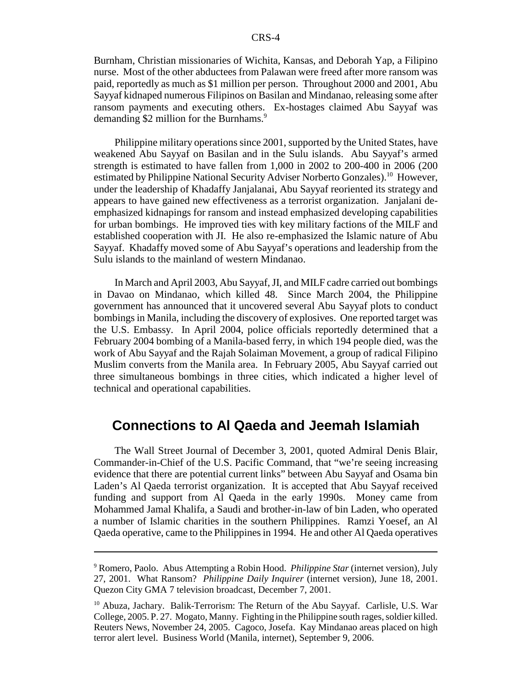Burnham, Christian missionaries of Wichita, Kansas, and Deborah Yap, a Filipino nurse. Most of the other abductees from Palawan were freed after more ransom was paid, reportedly as much as \$1 million per person. Throughout 2000 and 2001, Abu Sayyaf kidnaped numerous Filipinos on Basilan and Mindanao, releasing some after ransom payments and executing others. Ex-hostages claimed Abu Sayyaf was demanding \$2 million for the Burnhams.<sup>9</sup>

Philippine military operations since 2001, supported by the United States, have weakened Abu Sayyaf on Basilan and in the Sulu islands. Abu Sayyaf's armed strength is estimated to have fallen from 1,000 in 2002 to 200-400 in 2006 (200 estimated by Philippine National Security Adviser Norberto Gonzales).<sup>10</sup> However, under the leadership of Khadaffy Janjalanai, Abu Sayyaf reoriented its strategy and appears to have gained new effectiveness as a terrorist organization. Janjalani deemphasized kidnapings for ransom and instead emphasized developing capabilities for urban bombings. He improved ties with key military factions of the MILF and established cooperation with JI. He also re-emphasized the Islamic nature of Abu Sayyaf. Khadaffy moved some of Abu Sayyaf's operations and leadership from the Sulu islands to the mainland of western Mindanao.

In March and April 2003, Abu Sayyaf, JI, and MILF cadre carried out bombings in Davao on Mindanao, which killed 48. Since March 2004, the Philippine government has announced that it uncovered several Abu Sayyaf plots to conduct bombings in Manila, including the discovery of explosives. One reported target was the U.S. Embassy. In April 2004, police officials reportedly determined that a February 2004 bombing of a Manila-based ferry, in which 194 people died, was the work of Abu Sayyaf and the Rajah Solaiman Movement, a group of radical Filipino Muslim converts from the Manila area. In February 2005, Abu Sayyaf carried out three simultaneous bombings in three cities, which indicated a higher level of technical and operational capabilities.

#### **Connections to Al Qaeda and Jeemah Islamiah**

The Wall Street Journal of December 3, 2001, quoted Admiral Denis Blair, Commander-in-Chief of the U.S. Pacific Command, that "we're seeing increasing evidence that there are potential current links" between Abu Sayyaf and Osama bin Laden's Al Qaeda terrorist organization. It is accepted that Abu Sayyaf received funding and support from Al Qaeda in the early 1990s. Money came from Mohammed Jamal Khalifa, a Saudi and brother-in-law of bin Laden, who operated a number of Islamic charities in the southern Philippines. Ramzi Yoesef, an Al Qaeda operative, came to the Philippines in 1994. He and other Al Qaeda operatives

<sup>9</sup> Romero, Paolo. Abus Attempting a Robin Hood. *Philippine Star* (internet version), July 27, 2001. What Ransom? *Philippine Daily Inquirer* (internet version), June 18, 2001. Quezon City GMA 7 television broadcast, December 7, 2001.

<sup>&</sup>lt;sup>10</sup> Abuza, Jachary. Balik-Terrorism: The Return of the Abu Sayyaf. Carlisle, U.S. War College, 2005. P. 27. Mogato, Manny. Fighting in the Philippine south rages, soldier killed. Reuters News, November 24, 2005. Cagoco, Josefa. Kay Mindanao areas placed on high terror alert level. Business World (Manila, internet), September 9, 2006.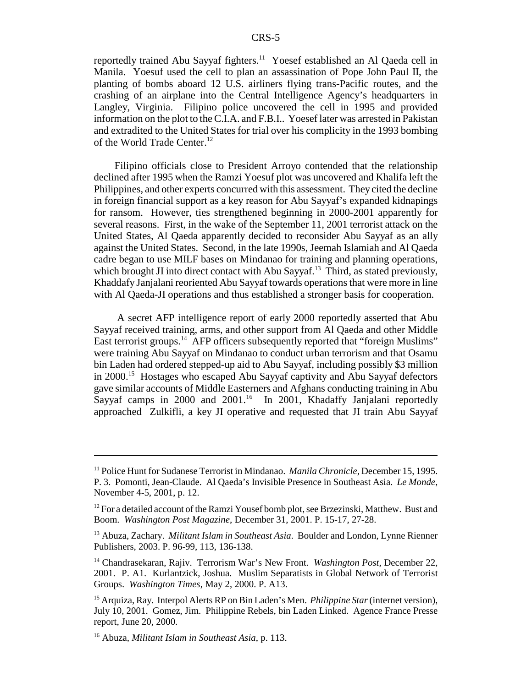reportedly trained Abu Sayyaf fighters.<sup>11</sup> Yoesef established an Al Qaeda cell in Manila. Yoesuf used the cell to plan an assassination of Pope John Paul II, the planting of bombs aboard 12 U.S. airliners flying trans-Pacific routes, and the crashing of an airplane into the Central Intelligence Agency's headquarters in Langley, Virginia. Filipino police uncovered the cell in 1995 and provided information on the plot to the C.I.A. and F.B.I.. Yoesef later was arrested in Pakistan and extradited to the United States for trial over his complicity in the 1993 bombing of the World Trade Center.<sup>12</sup>

Filipino officials close to President Arroyo contended that the relationship declined after 1995 when the Ramzi Yoesuf plot was uncovered and Khalifa left the Philippines, and other experts concurred with this assessment. They cited the decline in foreign financial support as a key reason for Abu Sayyaf's expanded kidnapings for ransom. However, ties strengthened beginning in 2000-2001 apparently for several reasons. First, in the wake of the September 11, 2001 terrorist attack on the United States, Al Qaeda apparently decided to reconsider Abu Sayyaf as an ally against the United States. Second, in the late 1990s, Jeemah Islamiah and Al Qaeda cadre began to use MILF bases on Mindanao for training and planning operations, which brought JI into direct contact with Abu Sayyaf.<sup>13</sup> Third, as stated previously, Khaddafy Janjalani reoriented Abu Sayyaf towards operations that were more in line with Al Qaeda-JI operations and thus established a stronger basis for cooperation.

 A secret AFP intelligence report of early 2000 reportedly asserted that Abu Sayyaf received training, arms, and other support from Al Qaeda and other Middle East terrorist groups.<sup>14</sup> AFP officers subsequently reported that "foreign Muslims" were training Abu Sayyaf on Mindanao to conduct urban terrorism and that Osamu bin Laden had ordered stepped-up aid to Abu Sayyaf, including possibly \$3 million in 2000.15 Hostages who escaped Abu Sayyaf captivity and Abu Sayyaf defectors gave similar accounts of Middle Easterners and Afghans conducting training in Abu Sayyaf camps in 2000 and 2001.<sup>16</sup> In 2001, Khadaffy Janjalani reportedly approached Zulkifli, a key JI operative and requested that JI train Abu Sayyaf

<sup>11</sup> Police Hunt for Sudanese Terrorist in Mindanao. *Manila Chronicle*, December 15, 1995. P. 3. Pomonti, Jean-Claude. Al Qaeda's Invisible Presence in Southeast Asia. *Le Monde*, November 4-5, 2001, p. 12.

 $12$  For a detailed account of the Ramzi Yousef bomb plot, see Brzezinski, Matthew. Bust and Boom. *Washington Post Magazine*, December 31, 2001. P. 15-17, 27-28.

<sup>13</sup> Abuza, Zachary. *Militant Islam in Southeast Asia*. Boulder and London, Lynne Rienner Publishers, 2003. P. 96-99, 113, 136-138.

<sup>14</sup> Chandrasekaran, Rajiv. Terrorism War's New Front. *Washington Post*, December 22, 2001. P. A1. Kurlantzick, Joshua. Muslim Separatists in Global Network of Terrorist Groups. *Washington Times*, May 2, 2000. P. A13.

<sup>15</sup> Arquiza, Ray. Interpol Alerts RP on Bin Laden's Men. *Philippine Star* (internet version), July 10, 2001. Gomez, Jim. Philippine Rebels, bin Laden Linked. Agence France Presse report, June 20, 2000.

<sup>16</sup> Abuza, *Militant Islam in Southeast Asia*, p. 113.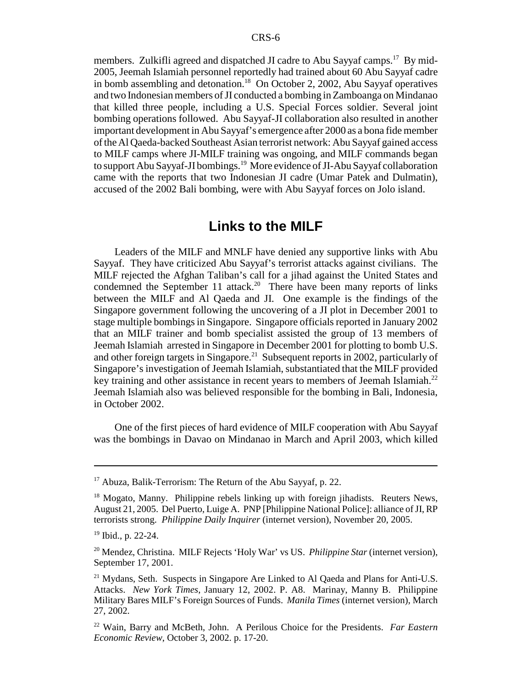members. Zulkifli agreed and dispatched JI cadre to Abu Sayyaf camps.<sup>17</sup> By mid-2005, Jeemah Islamiah personnel reportedly had trained about 60 Abu Sayyaf cadre in bomb assembling and detonation.<sup>18</sup> On October 2, 2002, Abu Sayyaf operatives and two Indonesian members of JI conducted a bombing in Zamboanga on Mindanao that killed three people, including a U.S. Special Forces soldier. Several joint bombing operations followed. Abu Sayyaf-JI collaboration also resulted in another important development in Abu Sayyaf's emergence after 2000 as a bona fide member of the Al Qaeda-backed Southeast Asian terrorist network: Abu Sayyaf gained access to MILF camps where JI-MILF training was ongoing, and MILF commands began to support Abu Sayyaf-JI bombings.<sup>19</sup> More evidence of JI-Abu Sayyaf collaboration came with the reports that two Indonesian JI cadre (Umar Patek and Dulmatin), accused of the 2002 Bali bombing, were with Abu Sayyaf forces on Jolo island.

#### **Links to the MILF**

Leaders of the MILF and MNLF have denied any supportive links with Abu Sayyaf. They have criticized Abu Sayyaf's terrorist attacks against civilians. The MILF rejected the Afghan Taliban's call for a jihad against the United States and condemned the September 11 attack.<sup>20</sup> There have been many reports of links between the MILF and Al Qaeda and JI. One example is the findings of the Singapore government following the uncovering of a JI plot in December 2001 to stage multiple bombings in Singapore. Singapore officials reported in January 2002 that an MILF trainer and bomb specialist assisted the group of 13 members of Jeemah Islamiah arrested in Singapore in December 2001 for plotting to bomb U.S. and other foreign targets in Singapore.<sup>21</sup> Subsequent reports in 2002, particularly of Singapore's investigation of Jeemah Islamiah, substantiated that the MILF provided key training and other assistance in recent years to members of Jeemah Islamiah.<sup>22</sup> Jeemah Islamiah also was believed responsible for the bombing in Bali, Indonesia, in October 2002.

One of the first pieces of hard evidence of MILF cooperation with Abu Sayyaf was the bombings in Davao on Mindanao in March and April 2003, which killed

<sup>&</sup>lt;sup>17</sup> Abuza, Balik-Terrorism: The Return of the Abu Sayyaf, p. 22.

<sup>&</sup>lt;sup>18</sup> Mogato, Manny. Philippine rebels linking up with foreign jihadists. Reuters News, August 21, 2005. Del Puerto, Luige A. PNP [Philippine National Police]: alliance of JI, RP terrorists strong. *Philippine Daily Inquirer* (internet version), November 20, 2005.

<sup>19</sup> Ibid., p. 22-24.

<sup>20</sup> Mendez, Christina. MILF Rejects 'Holy War' vs US. *Philippine Star* (internet version), September 17, 2001.

<sup>&</sup>lt;sup>21</sup> Mydans, Seth. Suspects in Singapore Are Linked to Al Qaeda and Plans for Anti-U.S. Attacks. *New York Times*, January 12, 2002. P. A8. Marinay, Manny B. Philippine Military Bares MILF's Foreign Sources of Funds. *Manila Times* (internet version), March 27, 2002.

<sup>22</sup> Wain, Barry and McBeth, John. A Perilous Choice for the Presidents. *Far Eastern Economic Review*, October 3, 2002. p. 17-20.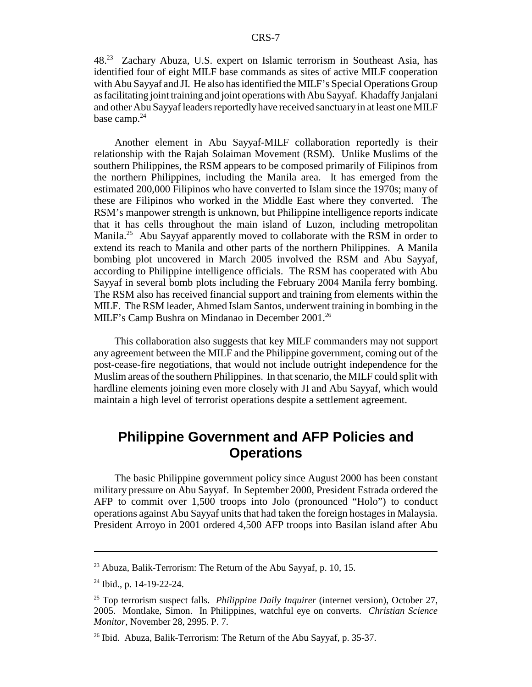48.23 Zachary Abuza, U.S. expert on Islamic terrorism in Southeast Asia, has identified four of eight MILF base commands as sites of active MILF cooperation with Abu Sayyaf and JI. He also has identified the MILF's Special Operations Group as facilitating joint training and joint operations with Abu Sayyaf. Khadaffy Janjalani and other Abu Sayyaf leaders reportedly have received sanctuary in at least one MILF base camp. $24$ 

Another element in Abu Sayyaf-MILF collaboration reportedly is their relationship with the Rajah Solaiman Movement (RSM). Unlike Muslims of the southern Philippines, the RSM appears to be composed primarily of Filipinos from the northern Philippines, including the Manila area. It has emerged from the estimated 200,000 Filipinos who have converted to Islam since the 1970s; many of these are Filipinos who worked in the Middle East where they converted. The RSM's manpower strength is unknown, but Philippine intelligence reports indicate that it has cells throughout the main island of Luzon, including metropolitan Manila.<sup>25</sup> Abu Sayyaf apparently moved to collaborate with the RSM in order to extend its reach to Manila and other parts of the northern Philippines. A Manila bombing plot uncovered in March 2005 involved the RSM and Abu Sayyaf, according to Philippine intelligence officials. The RSM has cooperated with Abu Sayyaf in several bomb plots including the February 2004 Manila ferry bombing. The RSM also has received financial support and training from elements within the MILF. The RSM leader, Ahmed Islam Santos, underwent training in bombing in the MILF's Camp Bushra on Mindanao in December 2001.<sup>26</sup>

This collaboration also suggests that key MILF commanders may not support any agreement between the MILF and the Philippine government, coming out of the post-cease-fire negotiations, that would not include outright independence for the Muslim areas of the southern Philippines. In that scenario, the MILF could split with hardline elements joining even more closely with JI and Abu Sayyaf, which would maintain a high level of terrorist operations despite a settlement agreement.

## **Philippine Government and AFP Policies and Operations**

The basic Philippine government policy since August 2000 has been constant military pressure on Abu Sayyaf. In September 2000, President Estrada ordered the AFP to commit over 1,500 troops into Jolo (pronounced "Holo") to conduct operations against Abu Sayyaf units that had taken the foreign hostages in Malaysia. President Arroyo in 2001 ordered 4,500 AFP troops into Basilan island after Abu

<sup>&</sup>lt;sup>23</sup> Abuza, Balik-Terrorism: The Return of the Abu Sayyaf, p. 10, 15.

<sup>24</sup> Ibid., p. 14-19-22-24.

<sup>25</sup> Top terrorism suspect falls. *Philippine Daily Inquirer* (internet version), October 27, 2005. Montlake, Simon. In Philippines, watchful eye on converts. *Christian Science Monitor*, November 28, 2995. P. 7.

 $^{26}$  Ibid. Abuza, Balik-Terrorism: The Return of the Abu Sayyaf, p. 35-37.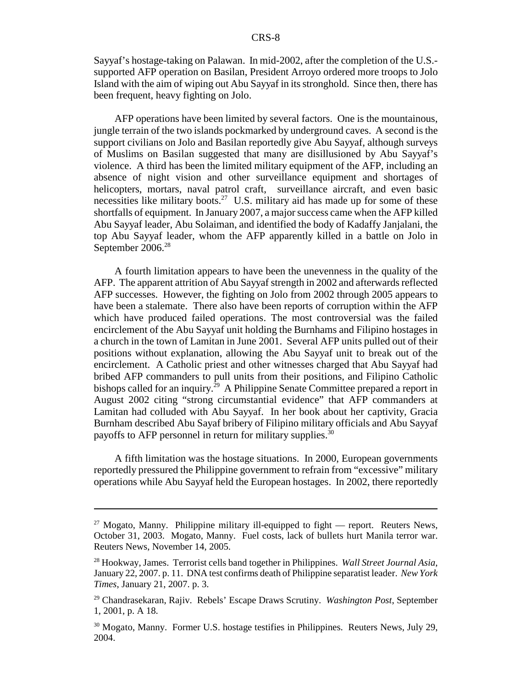Sayyaf's hostage-taking on Palawan. In mid-2002, after the completion of the U.S. supported AFP operation on Basilan, President Arroyo ordered more troops to Jolo Island with the aim of wiping out Abu Sayyaf in its stronghold. Since then, there has been frequent, heavy fighting on Jolo.

AFP operations have been limited by several factors. One is the mountainous, jungle terrain of the two islands pockmarked by underground caves. A second is the support civilians on Jolo and Basilan reportedly give Abu Sayyaf, although surveys of Muslims on Basilan suggested that many are disillusioned by Abu Sayyaf's violence. A third has been the limited military equipment of the AFP, including an absence of night vision and other surveillance equipment and shortages of helicopters, mortars, naval patrol craft, surveillance aircraft, and even basic necessities like military boots.<sup>27</sup> U.S. military aid has made up for some of these shortfalls of equipment. In January 2007, a major success came when the AFP killed Abu Sayyaf leader, Abu Solaiman, and identified the body of Kadaffy Janjalani, the top Abu Sayyaf leader, whom the AFP apparently killed in a battle on Jolo in September 2006.<sup>28</sup>

A fourth limitation appears to have been the unevenness in the quality of the AFP. The apparent attrition of Abu Sayyaf strength in 2002 and afterwards reflected AFP successes. However, the fighting on Jolo from 2002 through 2005 appears to have been a stalemate. There also have been reports of corruption within the AFP which have produced failed operations. The most controversial was the failed encirclement of the Abu Sayyaf unit holding the Burnhams and Filipino hostages in a church in the town of Lamitan in June 2001. Several AFP units pulled out of their positions without explanation, allowing the Abu Sayyaf unit to break out of the encirclement. A Catholic priest and other witnesses charged that Abu Sayyaf had bribed AFP commanders to pull units from their positions, and Filipino Catholic bishops called for an inquiry.<sup>29</sup> A Philippine Senate Committee prepared a report in August 2002 citing "strong circumstantial evidence" that AFP commanders at Lamitan had colluded with Abu Sayyaf. In her book about her captivity, Gracia Burnham described Abu Sayaf bribery of Filipino military officials and Abu Sayyaf payoffs to AFP personnel in return for military supplies.<sup>30</sup>

A fifth limitation was the hostage situations. In 2000, European governments reportedly pressured the Philippine government to refrain from "excessive" military operations while Abu Sayyaf held the European hostages. In 2002, there reportedly

 $27$  Mogato, Manny. Philippine military ill-equipped to fight — report. Reuters News, October 31, 2003. Mogato, Manny. Fuel costs, lack of bullets hurt Manila terror war. Reuters News, November 14, 2005.

<sup>28</sup> Hookway, James. Terrorist cells band together in Philippines. *Wall Street Journal Asia*, January 22, 2007. p. 11. DNA test confirms death of Philippine separatist leader. *New York Times*, January 21, 2007. p. 3.

<sup>29</sup> Chandrasekaran, Rajiv. Rebels' Escape Draws Scrutiny. *Washington Post*, September 1, 2001, p. A 18.

<sup>&</sup>lt;sup>30</sup> Mogato, Manny. Former U.S. hostage testifies in Philippines. Reuters News, July 29, 2004.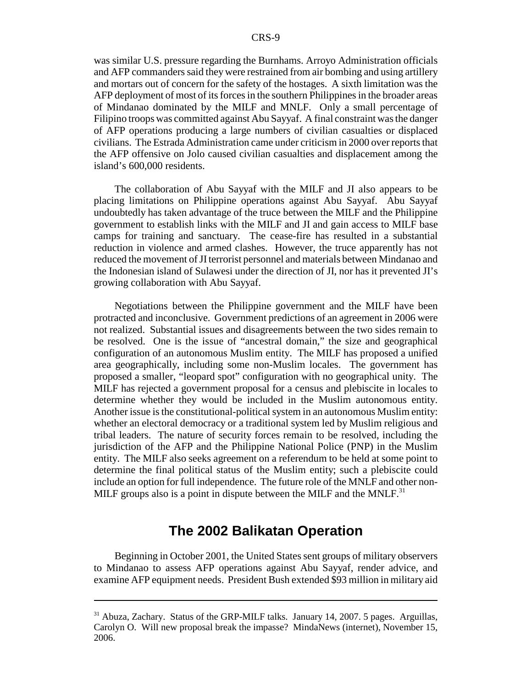was similar U.S. pressure regarding the Burnhams. Arroyo Administration officials and AFP commanders said they were restrained from air bombing and using artillery and mortars out of concern for the safety of the hostages. A sixth limitation was the AFP deployment of most of its forces in the southern Philippines in the broader areas of Mindanao dominated by the MILF and MNLF. Only a small percentage of Filipino troops was committed against Abu Sayyaf. A final constraint was the danger of AFP operations producing a large numbers of civilian casualties or displaced civilians. The Estrada Administration came under criticism in 2000 over reports that the AFP offensive on Jolo caused civilian casualties and displacement among the island's 600,000 residents.

The collaboration of Abu Sayyaf with the MILF and JI also appears to be placing limitations on Philippine operations against Abu Sayyaf. Abu Sayyaf undoubtedly has taken advantage of the truce between the MILF and the Philippine government to establish links with the MILF and JI and gain access to MILF base camps for training and sanctuary. The cease-fire has resulted in a substantial reduction in violence and armed clashes. However, the truce apparently has not reduced the movement of JI terrorist personnel and materials between Mindanao and the Indonesian island of Sulawesi under the direction of JI, nor has it prevented JI's growing collaboration with Abu Sayyaf.

Negotiations between the Philippine government and the MILF have been protracted and inconclusive. Government predictions of an agreement in 2006 were not realized. Substantial issues and disagreements between the two sides remain to be resolved. One is the issue of "ancestral domain," the size and geographical configuration of an autonomous Muslim entity. The MILF has proposed a unified area geographically, including some non-Muslim locales. The government has proposed a smaller, "leopard spot" configuration with no geographical unity. The MILF has rejected a government proposal for a census and plebiscite in locales to determine whether they would be included in the Muslim autonomous entity. Another issue is the constitutional-political system in an autonomous Muslim entity: whether an electoral democracy or a traditional system led by Muslim religious and tribal leaders. The nature of security forces remain to be resolved, including the jurisdiction of the AFP and the Philippine National Police (PNP) in the Muslim entity. The MILF also seeks agreement on a referendum to be held at some point to determine the final political status of the Muslim entity; such a plebiscite could include an option for full independence. The future role of the MNLF and other non-MILF groups also is a point in dispute between the MILF and the MNLF. $31$ 

### **The 2002 Balikatan Operation**

Beginning in October 2001, the United States sent groups of military observers to Mindanao to assess AFP operations against Abu Sayyaf, render advice, and examine AFP equipment needs. President Bush extended \$93 million in military aid

<sup>&</sup>lt;sup>31</sup> Abuza, Zachary. Status of the GRP-MILF talks. January 14, 2007. 5 pages. Arguillas, Carolyn O. Will new proposal break the impasse? MindaNews (internet), November 15, 2006.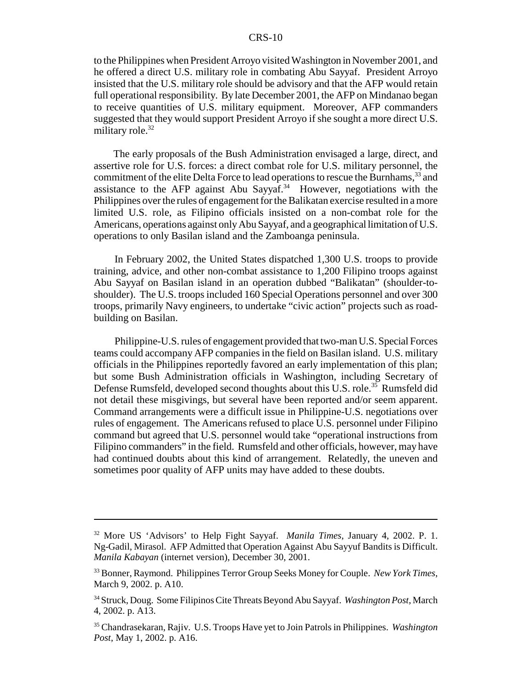to the Philippines when President Arroyo visited Washington in November 2001, and he offered a direct U.S. military role in combating Abu Sayyaf. President Arroyo insisted that the U.S. military role should be advisory and that the AFP would retain full operational responsibility. By late December 2001, the AFP on Mindanao began to receive quantities of U.S. military equipment. Moreover, AFP commanders suggested that they would support President Arroyo if she sought a more direct U.S. military role. $32$ 

 The early proposals of the Bush Administration envisaged a large, direct, and assertive role for U.S. forces: a direct combat role for U.S. military personnel, the commitment of the elite Delta Force to lead operations to rescue the Burnhams,<sup>33</sup> and assistance to the AFP against Abu Sayyaf.<sup>34</sup> However, negotiations with the Philippines over the rules of engagement for the Balikatan exercise resulted in a more limited U.S. role, as Filipino officials insisted on a non-combat role for the Americans, operations against only Abu Sayyaf, and a geographical limitation of U.S. operations to only Basilan island and the Zamboanga peninsula.

In February 2002, the United States dispatched 1,300 U.S. troops to provide training, advice, and other non-combat assistance to 1,200 Filipino troops against Abu Sayyaf on Basilan island in an operation dubbed "Balikatan" (shoulder-toshoulder). The U.S. troops included 160 Special Operations personnel and over 300 troops, primarily Navy engineers, to undertake "civic action" projects such as roadbuilding on Basilan.

Philippine-U.S. rules of engagement provided that two-man U.S. Special Forces teams could accompany AFP companies in the field on Basilan island. U.S. military officials in the Philippines reportedly favored an early implementation of this plan; but some Bush Administration officials in Washington, including Secretary of Defense Rumsfeld, developed second thoughts about this U.S. role.<sup>35</sup> Rumsfeld did not detail these misgivings, but several have been reported and/or seem apparent. Command arrangements were a difficult issue in Philippine-U.S. negotiations over rules of engagement. The Americans refused to place U.S. personnel under Filipino command but agreed that U.S. personnel would take "operational instructions from Filipino commanders" in the field. Rumsfeld and other officials, however, may have had continued doubts about this kind of arrangement. Relatedly, the uneven and sometimes poor quality of AFP units may have added to these doubts.

<sup>32</sup> More US 'Advisors' to Help Fight Sayyaf. *Manila Times*, January 4, 2002. P. 1. Ng-Gadil, Mirasol. AFP Admitted that Operation Against Abu Sayyuf Bandits is Difficult. *Manila Kabayan* (internet version), December 30, 2001.

<sup>33</sup> Bonner, Raymond. Philippines Terror Group Seeks Money for Couple. *New York Times*, March 9, 2002. p. A10.

<sup>34</sup> Struck, Doug. Some Filipinos Cite Threats Beyond Abu Sayyaf. *Washington Post*, March 4, 2002. p. A13.

<sup>35</sup> Chandrasekaran, Rajiv. U.S. Troops Have yet to Join Patrols in Philippines. *Washington Post*, May 1, 2002. p. A16.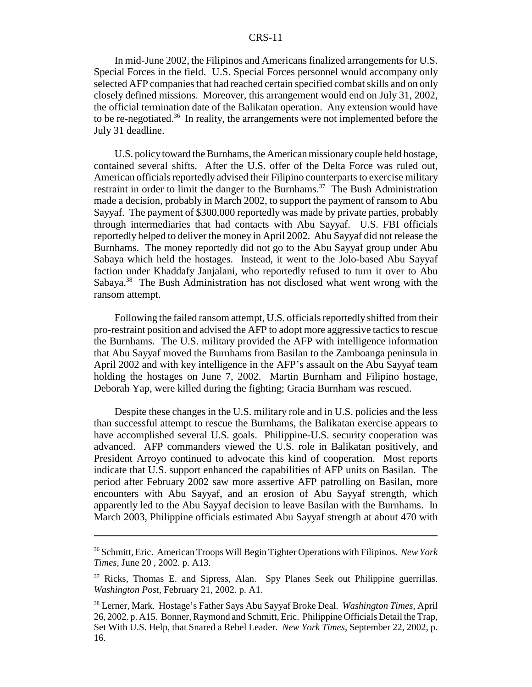In mid-June 2002, the Filipinos and Americans finalized arrangements for U.S. Special Forces in the field. U.S. Special Forces personnel would accompany only selected AFP companies that had reached certain specified combat skills and on only closely defined missions. Moreover, this arrangement would end on July 31, 2002, the official termination date of the Balikatan operation. Any extension would have to be re-negotiated.<sup>36</sup> In reality, the arrangements were not implemented before the July 31 deadline.

U.S. policy toward the Burnhams, the American missionary couple held hostage, contained several shifts. After the U.S. offer of the Delta Force was ruled out, American officials reportedly advised their Filipino counterparts to exercise military restraint in order to limit the danger to the Burnhams.<sup>37</sup> The Bush Administration made a decision, probably in March 2002, to support the payment of ransom to Abu Sayyaf. The payment of \$300,000 reportedly was made by private parties, probably through intermediaries that had contacts with Abu Sayyaf. U.S. FBI officials reportedly helped to deliver the money in April 2002. Abu Sayyaf did not release the Burnhams. The money reportedly did not go to the Abu Sayyaf group under Abu Sabaya which held the hostages. Instead, it went to the Jolo-based Abu Sayyaf faction under Khaddafy Janjalani, who reportedly refused to turn it over to Abu Sabaya.38 The Bush Administration has not disclosed what went wrong with the ransom attempt.

Following the failed ransom attempt, U.S. officials reportedly shifted from their pro-restraint position and advised the AFP to adopt more aggressive tactics to rescue the Burnhams. The U.S. military provided the AFP with intelligence information that Abu Sayyaf moved the Burnhams from Basilan to the Zamboanga peninsula in April 2002 and with key intelligence in the AFP's assault on the Abu Sayyaf team holding the hostages on June 7, 2002. Martin Burnham and Filipino hostage, Deborah Yap, were killed during the fighting; Gracia Burnham was rescued.

Despite these changes in the U.S. military role and in U.S. policies and the less than successful attempt to rescue the Burnhams, the Balikatan exercise appears to have accomplished several U.S. goals. Philippine-U.S. security cooperation was advanced. AFP commanders viewed the U.S. role in Balikatan positively, and President Arroyo continued to advocate this kind of cooperation. Most reports indicate that U.S. support enhanced the capabilities of AFP units on Basilan. The period after February 2002 saw more assertive AFP patrolling on Basilan, more encounters with Abu Sayyaf, and an erosion of Abu Sayyaf strength, which apparently led to the Abu Sayyaf decision to leave Basilan with the Burnhams. In March 2003, Philippine officials estimated Abu Sayyaf strength at about 470 with

<sup>36</sup> Schmitt, Eric. American Troops Will Begin Tighter Operations with Filipinos. *New York Times*, June 20 , 2002. p. A13.

<sup>&</sup>lt;sup>37</sup> Ricks, Thomas E. and Sipress, Alan. Spy Planes Seek out Philippine guerrillas. *Washington Post*, February 21, 2002. p. A1.

<sup>38</sup> Lerner, Mark. Hostage's Father Says Abu Sayyaf Broke Deal. *Washington Times*, April 26, 2002. p. A15. Bonner, Raymond and Schmitt, Eric. Philippine Officials Detail the Trap, Set With U.S. Help, that Snared a Rebel Leader. *New York Times*, September 22, 2002, p. 16.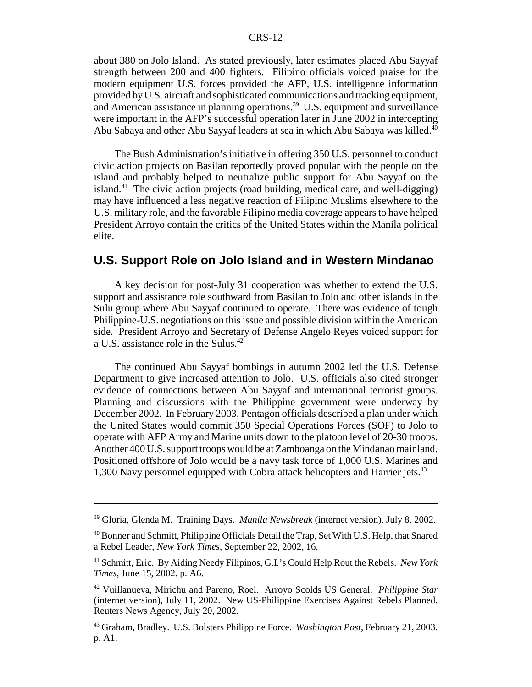about 380 on Jolo Island. As stated previously, later estimates placed Abu Sayyaf strength between 200 and 400 fighters. Filipino officials voiced praise for the modern equipment U.S. forces provided the AFP, U.S. intelligence information provided by U.S. aircraft and sophisticated communications and tracking equipment, and American assistance in planning operations.<sup>39</sup> U.S. equipment and surveillance were important in the AFP's successful operation later in June 2002 in intercepting Abu Sabaya and other Abu Sayyaf leaders at sea in which Abu Sabaya was killed.<sup>40</sup>

The Bush Administration's initiative in offering 350 U.S. personnel to conduct civic action projects on Basilan reportedly proved popular with the people on the island and probably helped to neutralize public support for Abu Sayyaf on the island.<sup>41</sup> The civic action projects (road building, medical care, and well-digging) may have influenced a less negative reaction of Filipino Muslims elsewhere to the U.S. military role, and the favorable Filipino media coverage appears to have helped President Arroyo contain the critics of the United States within the Manila political elite.

#### **U.S. Support Role on Jolo Island and in Western Mindanao**

A key decision for post-July 31 cooperation was whether to extend the U.S. support and assistance role southward from Basilan to Jolo and other islands in the Sulu group where Abu Sayyaf continued to operate. There was evidence of tough Philippine-U.S. negotiations on this issue and possible division within the American side. President Arroyo and Secretary of Defense Angelo Reyes voiced support for a U.S. assistance role in the Sulus.42

The continued Abu Sayyaf bombings in autumn 2002 led the U.S. Defense Department to give increased attention to Jolo. U.S. officials also cited stronger evidence of connections between Abu Sayyaf and international terrorist groups. Planning and discussions with the Philippine government were underway by December 2002. In February 2003, Pentagon officials described a plan under which the United States would commit 350 Special Operations Forces (SOF) to Jolo to operate with AFP Army and Marine units down to the platoon level of 20-30 troops. Another 400 U.S. support troops would be at Zamboanga on the Mindanao mainland. Positioned offshore of Jolo would be a navy task force of 1,000 U.S. Marines and 1,300 Navy personnel equipped with Cobra attack helicopters and Harrier jets.<sup>43</sup>

<sup>39</sup> Gloria, Glenda M. Training Days. *Manila Newsbreak* (internet version), July 8, 2002.

<sup>40</sup> Bonner and Schmitt, Philippine Officials Detail the Trap, Set With U.S. Help, that Snared a Rebel Leader, *New York Times*, September 22, 2002, 16.

<sup>41</sup> Schmitt, Eric. By Aiding Needy Filipinos, G.I.'s Could Help Rout the Rebels. *New York Times*, June 15, 2002. p. A6.

<sup>42</sup> Vuillanueva, Mirichu and Pareno, Roel. Arroyo Scolds US General. *Philippine Star* (internet version), July 11, 2002. New US-Philippine Exercises Against Rebels Planned. Reuters News Agency, July 20, 2002.

<sup>43</sup> Graham, Bradley. U.S. Bolsters Philippine Force. *Washington Post*, February 21, 2003. p. A1.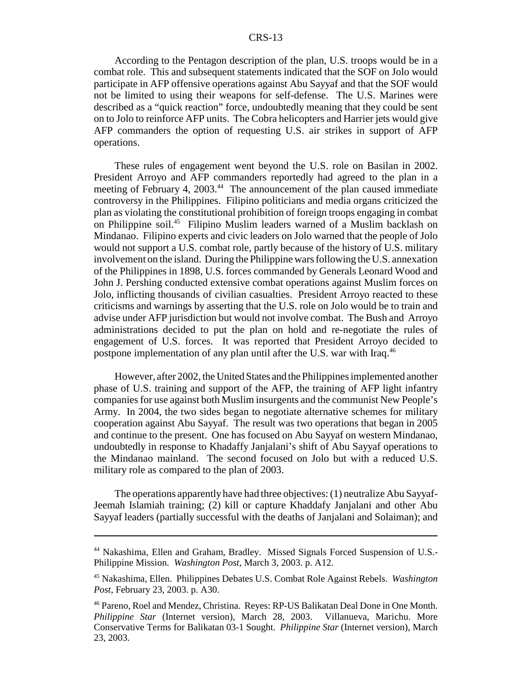According to the Pentagon description of the plan, U.S. troops would be in a combat role. This and subsequent statements indicated that the SOF on Jolo would participate in AFP offensive operations against Abu Sayyaf and that the SOF would not be limited to using their weapons for self-defense. The U.S. Marines were described as a "quick reaction" force, undoubtedly meaning that they could be sent on to Jolo to reinforce AFP units. The Cobra helicopters and Harrier jets would give AFP commanders the option of requesting U.S. air strikes in support of AFP operations.

These rules of engagement went beyond the U.S. role on Basilan in 2002. President Arroyo and AFP commanders reportedly had agreed to the plan in a meeting of February 4, 2003.<sup>44</sup> The announcement of the plan caused immediate controversy in the Philippines. Filipino politicians and media organs criticized the plan as violating the constitutional prohibition of foreign troops engaging in combat on Philippine soil.45 Filipino Muslim leaders warned of a Muslim backlash on Mindanao. Filipino experts and civic leaders on Jolo warned that the people of Jolo would not support a U.S. combat role, partly because of the history of U.S. military involvement on the island. During the Philippine wars following the U.S. annexation of the Philippines in 1898, U.S. forces commanded by Generals Leonard Wood and John J. Pershing conducted extensive combat operations against Muslim forces on Jolo, inflicting thousands of civilian casualties. President Arroyo reacted to these criticisms and warnings by asserting that the U.S. role on Jolo would be to train and advise under AFP jurisdiction but would not involve combat. The Bush and Arroyo administrations decided to put the plan on hold and re-negotiate the rules of engagement of U.S. forces. It was reported that President Arroyo decided to postpone implementation of any plan until after the U.S. war with Iraq.<sup>46</sup>

However, after 2002, the United States and the Philippines implemented another phase of U.S. training and support of the AFP, the training of AFP light infantry companies for use against both Muslim insurgents and the communist New People's Army. In 2004, the two sides began to negotiate alternative schemes for military cooperation against Abu Sayyaf. The result was two operations that began in 2005 and continue to the present. One has focused on Abu Sayyaf on western Mindanao, undoubtedly in response to Khadaffy Janjalani's shift of Abu Sayyaf operations to the Mindanao mainland. The second focused on Jolo but with a reduced U.S. military role as compared to the plan of 2003.

The operations apparently have had three objectives: (1) neutralize Abu Sayyaf-Jeemah Islamiah training; (2) kill or capture Khaddafy Janjalani and other Abu Sayyaf leaders (partially successful with the deaths of Janjalani and Solaiman); and

<sup>44</sup> Nakashima, Ellen and Graham, Bradley. Missed Signals Forced Suspension of U.S.- Philippine Mission. *Washington Post*, March 3, 2003. p. A12.

<sup>45</sup> Nakashima, Ellen. Philippines Debates U.S. Combat Role Against Rebels. *Washington Post*, February 23, 2003. p. A30.

<sup>46</sup> Pareno, Roel and Mendez, Christina. Reyes: RP-US Balikatan Deal Done in One Month. *Philippine Star* (Internet version), March 28, 2003. Villanueva, Marichu. More Conservative Terms for Balikatan 03-1 Sought. *Philippine Star* (Internet version), March 23, 2003.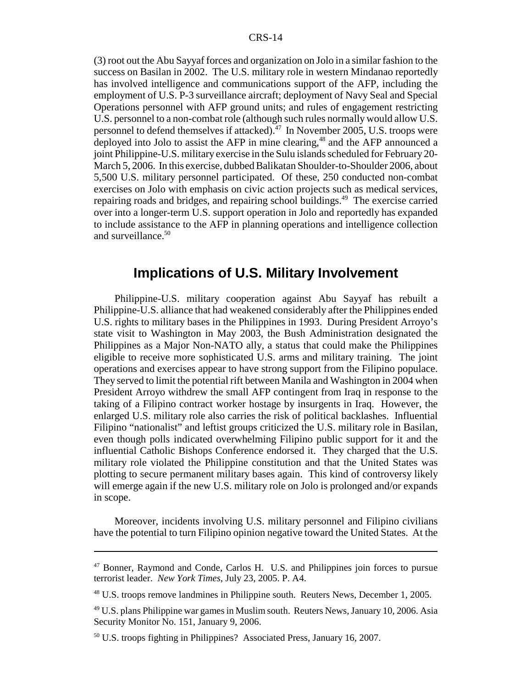(3) root out the Abu Sayyaf forces and organization on Jolo in a similar fashion to the success on Basilan in 2002. The U.S. military role in western Mindanao reportedly has involved intelligence and communications support of the AFP, including the employment of U.S. P-3 surveillance aircraft; deployment of Navy Seal and Special Operations personnel with AFP ground units; and rules of engagement restricting U.S. personnel to a non-combat role (although such rules normally would allow U.S. personnel to defend themselves if attacked).47 In November 2005, U.S. troops were deployed into Jolo to assist the AFP in mine clearing, $48$  and the AFP announced a joint Philippine-U.S. military exercise in the Sulu islands scheduled for February 20- March 5, 2006. In this exercise, dubbed Balikatan Shoulder-to-Shoulder 2006, about 5,500 U.S. military personnel participated. Of these, 250 conducted non-combat exercises on Jolo with emphasis on civic action projects such as medical services, repairing roads and bridges, and repairing school buildings.49 The exercise carried over into a longer-term U.S. support operation in Jolo and reportedly has expanded to include assistance to the AFP in planning operations and intelligence collection and surveillance.<sup>50</sup>

#### **Implications of U.S. Military Involvement**

Philippine-U.S. military cooperation against Abu Sayyaf has rebuilt a Philippine-U.S. alliance that had weakened considerably after the Philippines ended U.S. rights to military bases in the Philippines in 1993. During President Arroyo's state visit to Washington in May 2003, the Bush Administration designated the Philippines as a Major Non-NATO ally, a status that could make the Philippines eligible to receive more sophisticated U.S. arms and military training. The joint operations and exercises appear to have strong support from the Filipino populace. They served to limit the potential rift between Manila and Washington in 2004 when President Arroyo withdrew the small AFP contingent from Iraq in response to the taking of a Filipino contract worker hostage by insurgents in Iraq. However, the enlarged U.S. military role also carries the risk of political backlashes. Influential Filipino "nationalist" and leftist groups criticized the U.S. military role in Basilan, even though polls indicated overwhelming Filipino public support for it and the influential Catholic Bishops Conference endorsed it. They charged that the U.S. military role violated the Philippine constitution and that the United States was plotting to secure permanent military bases again. This kind of controversy likely will emerge again if the new U.S. military role on Jolo is prolonged and/or expands in scope.

Moreover, incidents involving U.S. military personnel and Filipino civilians have the potential to turn Filipino opinion negative toward the United States. At the

<sup>47</sup> Bonner, Raymond and Conde, Carlos H. U.S. and Philippines join forces to pursue terrorist leader. *New York Times*, July 23, 2005. P. A4.

<sup>48</sup> U.S. troops remove landmines in Philippine south. Reuters News, December 1, 2005.

<sup>&</sup>lt;sup>49</sup> U.S. plans Philippine war games in Muslim south. Reuters News, January 10, 2006. Asia Security Monitor No. 151, January 9, 2006.

<sup>50</sup> U.S. troops fighting in Philippines? Associated Press, January 16, 2007.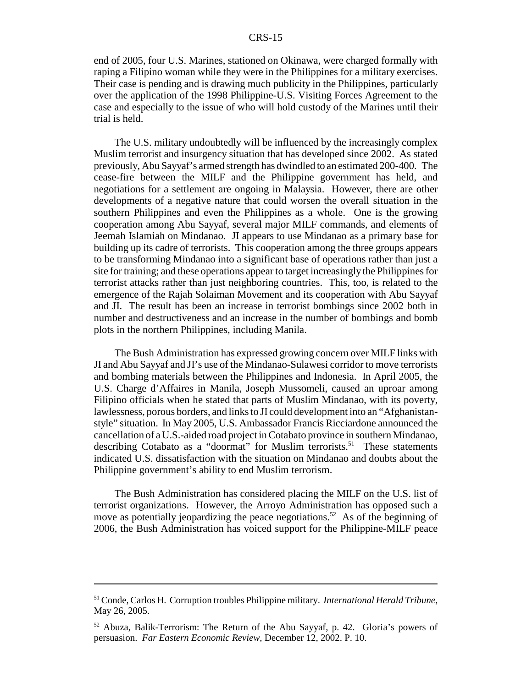end of 2005, four U.S. Marines, stationed on Okinawa, were charged formally with raping a Filipino woman while they were in the Philippines for a military exercises. Their case is pending and is drawing much publicity in the Philippines, particularly over the application of the 1998 Philippine-U.S. Visiting Forces Agreement to the case and especially to the issue of who will hold custody of the Marines until their trial is held.

The U.S. military undoubtedly will be influenced by the increasingly complex Muslim terrorist and insurgency situation that has developed since 2002. As stated previously, Abu Sayyaf's armed strength has dwindled to an estimated 200-400. The cease-fire between the MILF and the Philippine government has held, and negotiations for a settlement are ongoing in Malaysia. However, there are other developments of a negative nature that could worsen the overall situation in the southern Philippines and even the Philippines as a whole. One is the growing cooperation among Abu Sayyaf, several major MILF commands, and elements of Jeemah Islamiah on Mindanao. JI appears to use Mindanao as a primary base for building up its cadre of terrorists. This cooperation among the three groups appears to be transforming Mindanao into a significant base of operations rather than just a site for training; and these operations appear to target increasingly the Philippines for terrorist attacks rather than just neighboring countries. This, too, is related to the emergence of the Rajah Solaiman Movement and its cooperation with Abu Sayyaf and JI. The result has been an increase in terrorist bombings since 2002 both in number and destructiveness and an increase in the number of bombings and bomb plots in the northern Philippines, including Manila.

The Bush Administration has expressed growing concern over MILF links with JI and Abu Sayyaf and JI's use of the Mindanao-Sulawesi corridor to move terrorists and bombing materials between the Philippines and Indonesia. In April 2005, the U.S. Charge d'Affaires in Manila, Joseph Mussomeli, caused an uproar among Filipino officials when he stated that parts of Muslim Mindanao, with its poverty, lawlessness, porous borders, and links to JI could development into an "Afghanistanstyle" situation. In May 2005, U.S. Ambassador Francis Ricciardone announced the cancellation of a U.S.-aided road project in Cotabato province in southern Mindanao, describing Cotabato as a "doormat" for Muslim terrorists.<sup>51</sup> These statements indicated U.S. dissatisfaction with the situation on Mindanao and doubts about the Philippine government's ability to end Muslim terrorism.

The Bush Administration has considered placing the MILF on the U.S. list of terrorist organizations. However, the Arroyo Administration has opposed such a move as potentially jeopardizing the peace negotiations.<sup>52</sup> As of the beginning of 2006, the Bush Administration has voiced support for the Philippine-MILF peace

<sup>51</sup> Conde, Carlos H. Corruption troubles Philippine military. *International Herald Tribune*, May 26, 2005.

<sup>52</sup> Abuza, Balik-Terrorism: The Return of the Abu Sayyaf, p. 42. Gloria's powers of persuasion. *Far Eastern Economic Review*, December 12, 2002. P. 10.